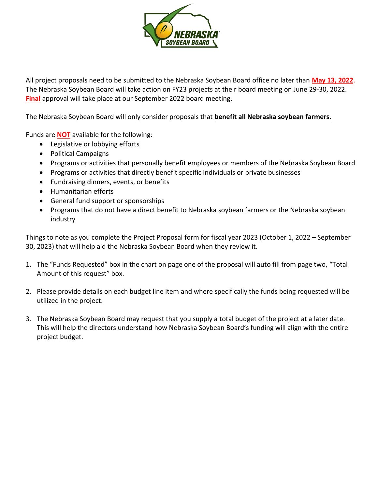

All project proposals need to be submitted to the Nebraska Soybean Board office no later than **May 13, 2022**. The Nebraska Soybean Board will take action on FY23 projects at their board meeting on June 29-30, 2022. **Final** approval will take place at our September 2022 board meeting.

The Nebraska Soybean Board will only consider proposals that **benefit all Nebraska soybean farmers.** 

Funds are **NOT** available for the following:

- Legislative or lobbying efforts
- Political Campaigns
- Programs or activities that personally benefit employees or members of the Nebraska Soybean Board
- Programs or activities that directly benefit specific individuals or private businesses
- Fundraising dinners, events, or benefits
- Humanitarian efforts
- General fund support or sponsorships
- Programs that do not have a direct benefit to Nebraska soybean farmers or the Nebraska soybean industry

Things to note as you complete the Project Proposal form for fiscal year 2023 (October 1, 2022 – September 30, 2023) that will help aid the Nebraska Soybean Board when they review it.

- 1. The "Funds Requested" box in the chart on page one of the proposal will auto fill from page two, "Total Amount of this request" box.
- 2. Please provide details on each budget line item and where specifically the funds being requested will be utilized in the project.
- 3. The Nebraska Soybean Board may request that you supply a total budget of the project at a later date. This will help the directors understand how Nebraska Soybean Board's funding will align with the entire project budget.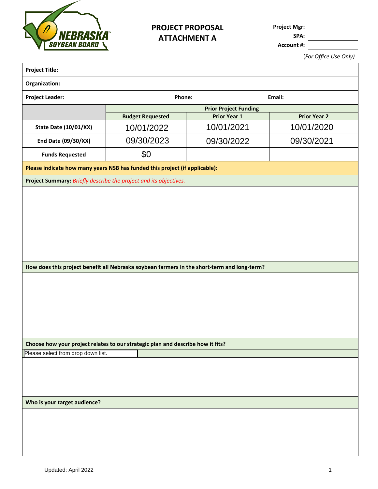

## **PROJECT PROPOSAL ATTACHMENT A**

**Project Mgr:**

**SPA:**

**Account #:**

(*For Office Use Only)*

| Organization:                                                                                                                                         |                         |                              |                     |
|-------------------------------------------------------------------------------------------------------------------------------------------------------|-------------------------|------------------------------|---------------------|
| <b>Project Leader:</b>                                                                                                                                | Phone:<br>Email:        |                              |                     |
|                                                                                                                                                       |                         | <b>Prior Project Funding</b> |                     |
|                                                                                                                                                       | <b>Budget Requested</b> | <b>Prior Year 1</b>          | <b>Prior Year 2</b> |
| State Date (10/01/XX)                                                                                                                                 | 10/01/2022              | 10/01/2021                   | 10/01/2020          |
| End Date (09/30/XX)                                                                                                                                   | 09/30/2023              | 09/30/2022                   | 09/30/2021          |
| <b>Funds Requested</b>                                                                                                                                | \$0                     |                              |                     |
| Please indicate how many years NSB has funded this project (if applicable):                                                                           |                         |                              |                     |
| Project Summary: Briefly describe the project and its objectives.                                                                                     |                         |                              |                     |
|                                                                                                                                                       |                         |                              |                     |
|                                                                                                                                                       |                         |                              |                     |
|                                                                                                                                                       |                         |                              |                     |
|                                                                                                                                                       |                         |                              |                     |
|                                                                                                                                                       |                         |                              |                     |
|                                                                                                                                                       |                         |                              |                     |
| How does this project benefit all Nebraska soybean farmers in the short-term and long-term?                                                           |                         |                              |                     |
|                                                                                                                                                       |                         |                              |                     |
|                                                                                                                                                       |                         |                              |                     |
|                                                                                                                                                       |                         |                              |                     |
|                                                                                                                                                       |                         |                              |                     |
|                                                                                                                                                       |                         |                              |                     |
|                                                                                                                                                       |                         |                              |                     |
|                                                                                                                                                       |                         |                              |                     |
|                                                                                                                                                       |                         |                              |                     |
|                                                                                                                                                       |                         |                              |                     |
|                                                                                                                                                       |                         |                              |                     |
|                                                                                                                                                       |                         |                              |                     |
|                                                                                                                                                       |                         |                              |                     |
|                                                                                                                                                       |                         |                              |                     |
|                                                                                                                                                       |                         |                              |                     |
|                                                                                                                                                       |                         |                              |                     |
| Choose how your project relates to our strategic plan and describe how it fits?<br>Please select from drop down list.<br>Who is your target audience? |                         |                              |                     |
|                                                                                                                                                       |                         |                              |                     |
|                                                                                                                                                       |                         |                              |                     |
|                                                                                                                                                       |                         |                              |                     |